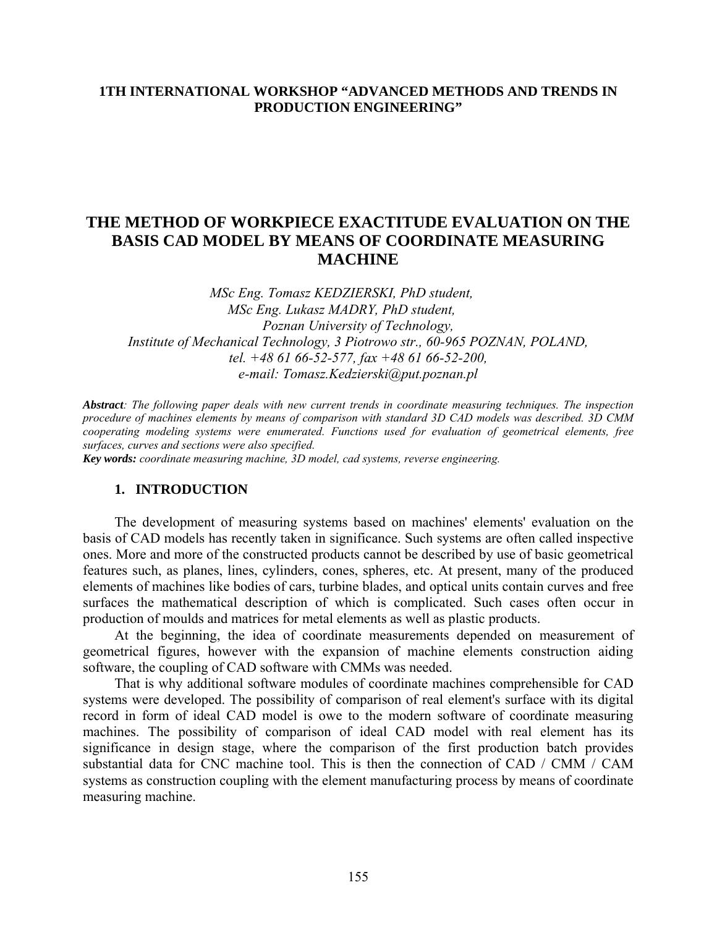### **1TH INTERNATIONAL WORKSHOP "ADVANCED METHODS AND TRENDS IN PRODUCTION ENGINEERING"**

# **THE METHOD OF WORKPIECE EXACTITUDE EVALUATION ON THE BASIS CAD MODEL BY MEANS OF COORDINATE MEASURING MACHINE**

*MSc Eng. Tomasz KEDZIERSKI, PhD student, MSc Eng. Lukasz MADRY, PhD student, Poznan University of Technology, Institute of Mechanical Technology, 3 Piotrowo str., 60-965 POZNAN, POLAND, tel. +48 61 66-52-577, fax +48 61 66-52-200, e-mail: [Tomasz.Kedzierski@put.poznan.pl](mailto:Tomasz.Kedzierski@put.poznan.pl)*

*Abstract: The following paper deals with new current trends in coordinate measuring techniques. The inspection procedure of machines elements by means of comparison with standard 3D CAD models was described. 3D CMM cooperating modeling systems were enumerated. Functions used for evaluation of geometrical elements, free surfaces, curves and sections were also specified.* 

*Key words: coordinate measuring machine, 3D model, cad systems, reverse engineering.* 

### **1. INTRODUCTION**

The development of measuring systems based on machines' elements' evaluation on the basis of CAD models has recently taken in significance. Such systems are often called inspective ones. More and more of the constructed products cannot be described by use of basic geometrical features such, as planes, lines, cylinders, cones, spheres, etc. At present, many of the produced elements of machines like bodies of cars, turbine blades, and optical units contain curves and free surfaces the mathematical description of which is complicated. Such cases often occur in production of moulds and matrices for metal elements as well as plastic products.

At the beginning, the idea of coordinate measurements depended on measurement of geometrical figures, however with the expansion of machine elements construction aiding software, the coupling of CAD software with CMMs was needed.

That is why additional software modules of coordinate machines comprehensible for CAD systems were developed. The possibility of comparison of real element's surface with its digital record in form of ideal CAD model is owe to the modern software of coordinate measuring machines. The possibility of comparison of ideal CAD model with real element has its significance in design stage, where the comparison of the first production batch provides substantial data for CNC machine tool. This is then the connection of CAD / CMM / CAM systems as construction coupling with the element manufacturing process by means of coordinate measuring machine.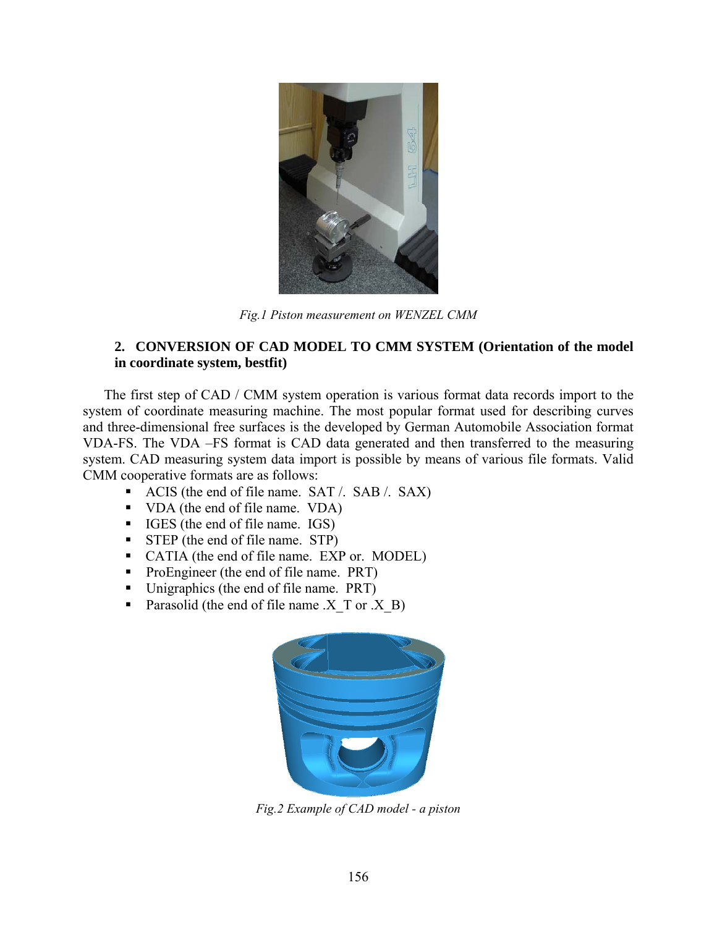

*Fig.1 Piston measurement on WENZEL CMM*

### **2. CONVERSION OF CAD MODEL TO CMM SYSTEM (Orientation of the model in coordinate system, bestfit)**

The first step of CAD / CMM system operation is various format data records import to the system of coordinate measuring machine. The most popular format used for describing curves and three-dimensional free surfaces is the developed by German Automobile Association format VDA-FS. The VDA –FS format is CAD data generated and then transferred to the measuring system. CAD measuring system data import is possible by means of various file formats. Valid CMM cooperative formats are as follows:

- ACIS (the end of file name. SAT /. SAB /. SAX)
- VDA (the end of file name. VDA)
- IGES (the end of file name. IGS)
- STEP (the end of file name. STP)
- CATIA (the end of file name. EXP or. MODEL)
- ProEngineer (the end of file name. PRT)
- Unigraphics (the end of file name. PRT)
- Parasolid (the end of file name  $.X$  T or  $.X$  B)



*Fig.2 Example of CAD model - a piston*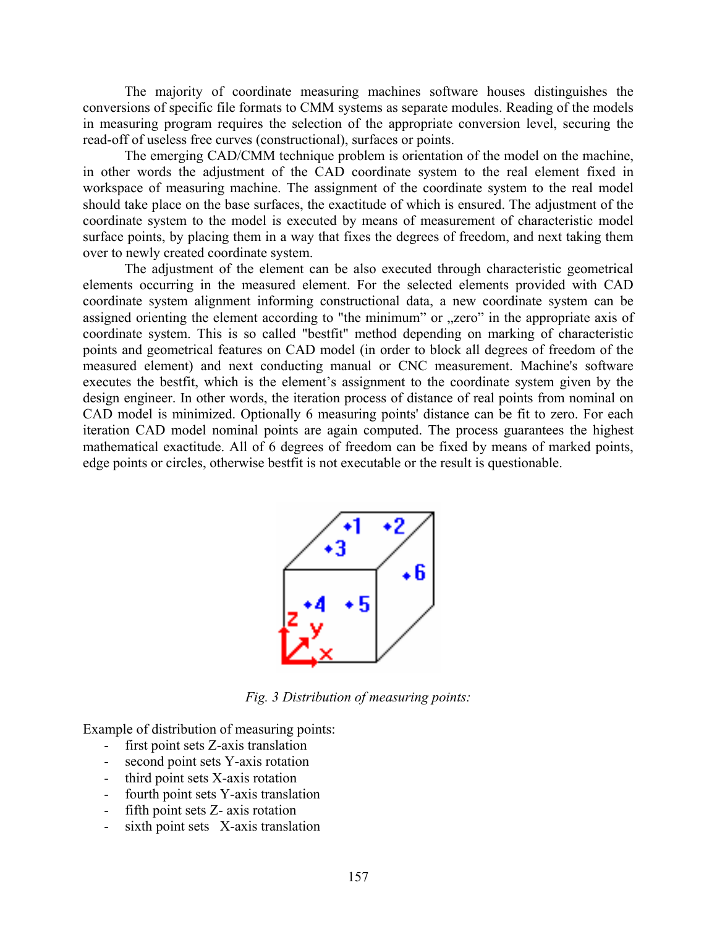The majority of coordinate measuring machines software houses distinguishes the conversions of specific file formats to CMM systems as separate modules. Reading of the models in measuring program requires the selection of the appropriate conversion level, securing the read-off of useless free curves (constructional), surfaces or points.

The emerging CAD/CMM technique problem is orientation of the model on the machine, in other words the adjustment of the CAD coordinate system to the real element fixed in workspace of measuring machine. The assignment of the coordinate system to the real model should take place on the base surfaces, the exactitude of which is ensured. The adjustment of the coordinate system to the model is executed by means of measurement of characteristic model surface points, by placing them in a way that fixes the degrees of freedom, and next taking them over to newly created coordinate system.

 The adjustment of the element can be also executed through characteristic geometrical elements occurring in the measured element. For the selected elements provided with CAD coordinate system alignment informing constructional data, a new coordinate system can be assigned orienting the element according to "the minimum" or "zero" in the appropriate axis of coordinate system. This is so called "bestfit" method depending on marking of characteristic points and geometrical features on CAD model (in order to block all degrees of freedom of the measured element) and next conducting manual or CNC measurement. Machine's software executes the bestfit, which is the element's assignment to the coordinate system given by the design engineer. In other words, the iteration process of distance of real points from nominal on CAD model is minimized. Optionally 6 measuring points' distance can be fit to zero. For each iteration CAD model nominal points are again computed. The process guarantees the highest mathematical exactitude. All of 6 degrees of freedom can be fixed by means of marked points, edge points or circles, otherwise bestfit is not executable or the result is questionable.



*Fig. 3 Distribution of measuring points:* 

Example of distribution of measuring points:

- first point sets Z-axis translation
- second point sets Y-axis rotation
- third point sets X-axis rotation
- fourth point sets Y-axis translation
- fifth point sets Z- axis rotation
- sixth point sets X-axis translation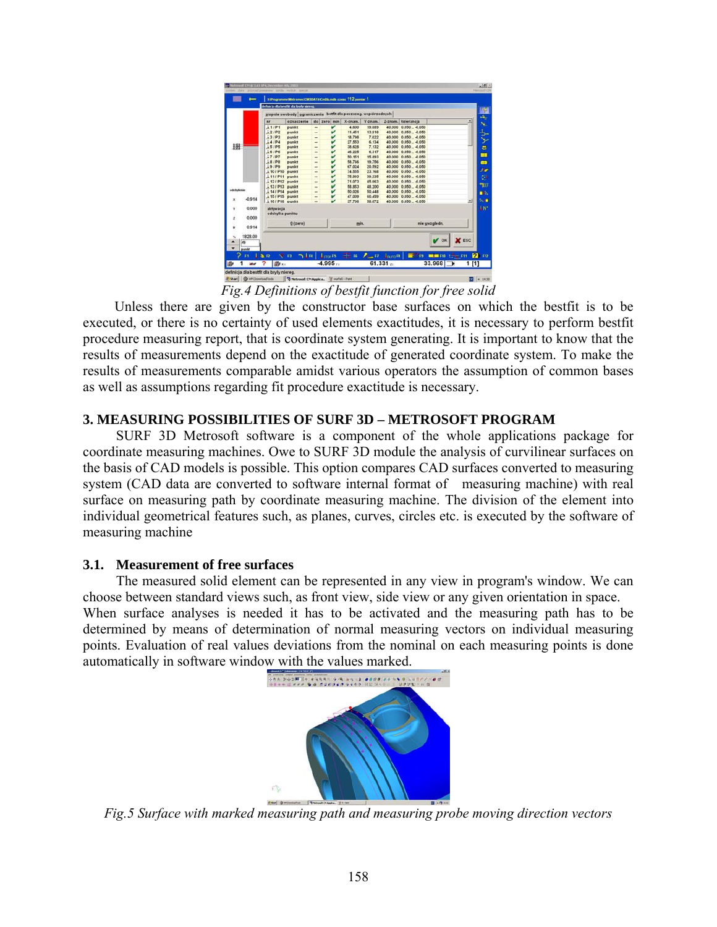| $\overline{\phantom{0}}$ |                                                                 | D.WregrammeWetramecCM3EATAICmEti.miti.czese 112 pomiar 1 |                          |              |         |         |               |                       |                                    |       |
|--------------------------|-----------------------------------------------------------------|----------------------------------------------------------|--------------------------|--------------|---------|---------|---------------|-----------------------|------------------------------------|-------|
|                          |                                                                 | definicia dia bestfit dia bryly niereg.                  |                          |              |         |         |               |                       |                                    |       |
|                          | stopnie swebody ggraniczenia betfit dla poszczeg, współrzednych |                                                          |                          |              |         |         |               |                       |                                    |       |
|                          | $n$ r                                                           | oznaczenie                                               |                          | do zero min  | X-znam. | Y-znam. |               | Z-znam. tolerancja    |                                    |       |
|                          | 111P1                                                           | punkt                                                    | $\overline{a}$           | v            | 4,600   | 19.089  |               | 40,000 0.050  - 0.050 |                                    |       |
|                          | 121P2                                                           | punkt                                                    | $\overline{a}$           | ν            | 11,451  | 13.918  |               | 40,000 0.050  - 0.050 |                                    |       |
|                          | 131P3                                                           | punkt                                                    | $\overline{\phantom{a}}$ | v            | 18.798  | 7.022   |               | 40.000 0.050  - 0.050 |                                    |       |
|                          | 141P4                                                           | punkt                                                    | à.                       | v            | 27,553  | 6.134   |               | 40,000 0.050  - 0.050 |                                    |       |
| 描                        | 151P5                                                           | punkt                                                    | $\overline{a}$           | v            | 38.628  | 7.132   |               | 40.000 0.050  - 0.050 |                                    |       |
|                          | 161P6                                                           | punkt                                                    | $\overline{a}$           | v            | 46.225  | 6,317   |               | 40,000 0.050  -0.050  |                                    |       |
|                          | 171P7                                                           | punkt                                                    | ٠                        | v            | 50.151  | 15,893  |               | 40,000 0.050  - 0.050 |                                    |       |
|                          | 18/P8                                                           | punkt                                                    | ٠                        | v            | 58,766  | 19.756  | 40,000        | $0.050 - 0.050$       |                                    |       |
|                          | 191P9                                                           | punkt                                                    | ÷                        | v            | 67.024  | 20.592  |               | 40,000 0.050  - 0.050 |                                    |       |
| o da budernio            | 1101P10                                                         | punkt                                                    | $\overline{a}$           | v            | 74.555  | 23.168  |               | 40.000 0.050  - 0.050 |                                    |       |
|                          | 1111P11                                                         | punkt                                                    |                          | v            | 75,993  | 39,335  |               | 40,000 0.050  - 0.050 |                                    |       |
|                          | 112/P12                                                         | punkt                                                    | $\overline{a}$           | v            | 71.073  | 45.063  |               | 40,000 0.050  - 0.050 |                                    |       |
|                          | 113/P13                                                         | punkt                                                    | $\overline{a}$           | v            | 58.853  | 48.200  |               | 40,000 0.050  - 0.050 |                                    |       |
|                          | 1141P14                                                         | punkt                                                    | $\overline{\phantom{a}}$ | v            | 50.026  | 50,448  |               | 40,000 0.050  - 0.050 |                                    |       |
| -0.914                   | 115/P15 punkt                                                   |                                                          | ۰                        | v            | 47.009  | 60.459  |               | 40.000 0.050  - 0.050 |                                    |       |
|                          | $116$ / P16 punkt                                               |                                                          | $\overline{a}$           | $\mathbf{v}$ | 37.706  | 58.672  |               | 40.000 0.050  - 0.050 |                                    | ⊣     |
| 0.000                    | aktywacja                                                       |                                                          |                          |              |         |         |               |                       |                                    |       |
| 0.000                    | odchylka punktu                                                 |                                                          |                          |              |         |         |               |                       |                                    |       |
| ż                        |                                                                 |                                                          |                          |              |         |         | nie uwzgledn. |                       |                                    |       |
| 0.914<br>٠               | O (zero)                                                        |                                                          |                          |              | min.    |         |               |                       |                                    |       |
|                          |                                                                 |                                                          |                          |              |         |         |               |                       |                                    |       |
| 1828.00                  |                                                                 |                                                          |                          |              |         |         |               |                       |                                    |       |
| 49                       |                                                                 |                                                          |                          |              |         |         |               |                       | $\sqrt{}$ OK                       | X ESC |
| punkt                    |                                                                 |                                                          |                          |              |         |         |               |                       |                                    |       |
|                          |                                                                 |                                                          |                          |              |         |         |               |                       |                                    |       |
| Ħ                        | 137                                                             | $N$ $n$                                                  |                          |              |         |         |               |                       | つまい Loon 書き A H Loon 日 10 mmm them | 2111  |
| 2072                     |                                                                 | 图 xi                                                     |                          | $-4.995v1$   | 61.331  |         |               | 33.968<br>1[1]        |                                    |       |

*Fig.4 Definitions of bestfit function for free solid* 

 Unless there are given by the constructor base surfaces on which the bestfit is to be executed, or there is no certainty of used elements exactitudes, it is necessary to perform bestfit procedure measuring report, that is coordinate system generating. It is important to know that the results of measurements depend on the exactitude of generated coordinate system. To make the results of measurements comparable amidst various operators the assumption of common bases as well as assumptions regarding fit procedure exactitude is necessary.

## **3. MEASURING POSSIBILITIES OF SURF 3D – METROSOFT PROGRAM**

 SURF 3D Metrosoft software is a component of the whole applications package for coordinate measuring machines. Owe to SURF 3D module the analysis of curvilinear surfaces on the basis of CAD models is possible. This option compares CAD surfaces converted to measuring system (CAD data are converted to software internal format of measuring machine) with real surface on measuring path by coordinate measuring machine. The division of the element into individual geometrical features such, as planes, curves, circles etc. is executed by the software of measuring machine

### **3.1. Measurement of free surfaces**

The measured solid element can be represented in any view in program's window. We can choose between standard views such, as front view, side view or any given orientation in space. When surface analyses is needed it has to be activated and the measuring path has to be determined by means of determination of normal measuring vectors on individual measuring points. Evaluation of real values deviations from the nominal on each measuring points is done automatically in software window with the values marked.



*Fig.5 Surface with marked measuring path and measuring probe moving direction vectors*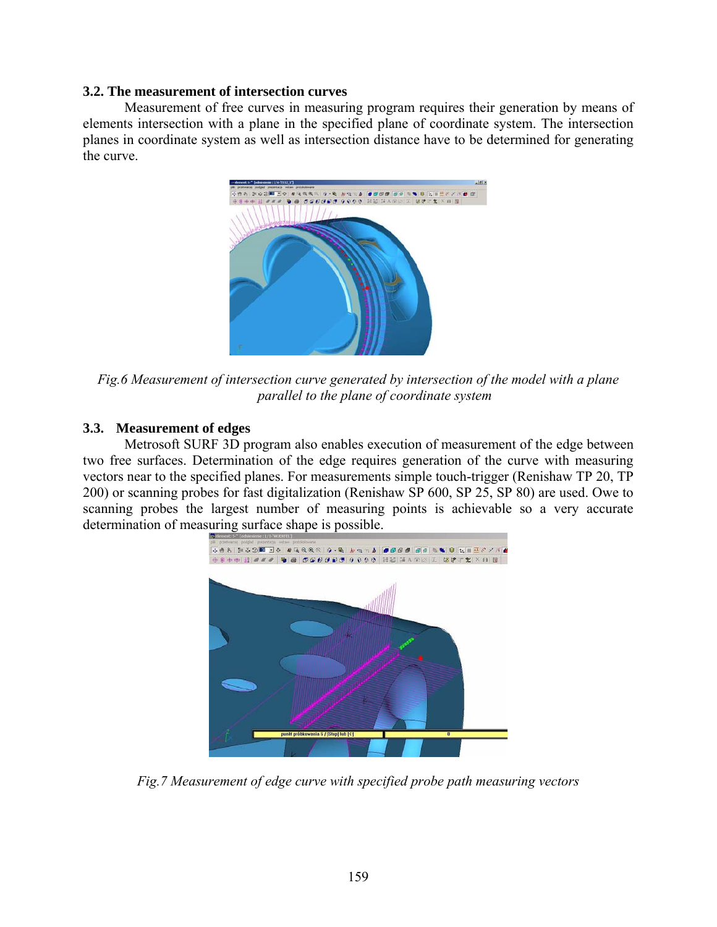#### **3.2. The measurement of intersection curves**

 Measurement of free curves in measuring program requires their generation by means of elements intersection with a plane in the specified plane of coordinate system. The intersection planes in coordinate system as well as intersection distance have to be determined for generating the curve.



*Fig.6 Measurement of intersection curve generated by intersection of the model with a plane parallel to the plane of coordinate system* 

### **3.3. Measurement of edges**

 Metrosoft SURF 3D program also enables execution of measurement of the edge between two free surfaces. Determination of the edge requires generation of the curve with measuring vectors near to the specified planes. For measurements simple touch-trigger (Renishaw TP 20, TP 200) or scanning probes for fast digitalization (Renishaw SP 600, SP 25, SP 80) are used. Owe to scanning probes the largest number of measuring points is achievable so a very accurate determination of measuring surface shape is possible.



*Fig.7 Measurement of edge curve with specified probe path measuring vectors*